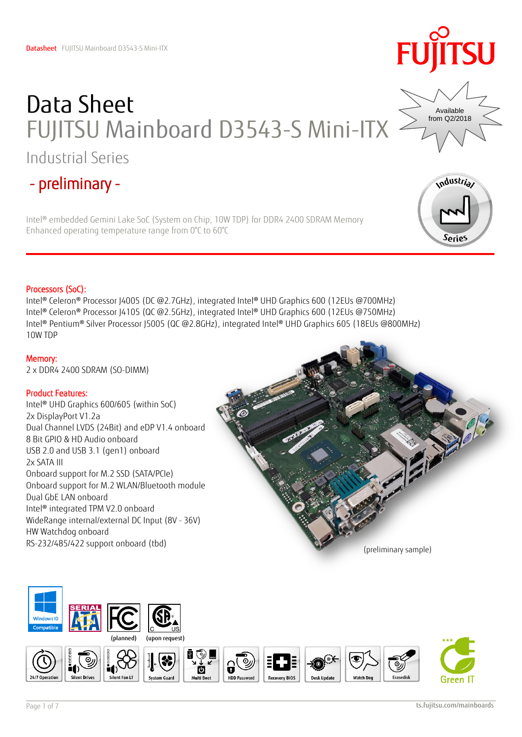## Data Sheet FUJITSU Mainboard D3543-S Mini-ITX Industrial Series

## - preliminary -

Intel® embedded Gemini Lake SoC (System on Chip, 10W TDP) for DDR4 2400 SDRAM Memory Enhanced operating temperature range from 0°C to 60°C

### Processors (SoC):

Intel® Celeron® Processor J4005 (DC @2.7GHz), integrated Intel® UHD Graphics 600 (12EUs @700MHz) Intel® Celeron® Processor J4105 (QC @2.5GHz), integrated Intel® UHD Graphics 600 (12EUs @750MHz) Intel® Pentium® Silver Processor J5005 (QC @2.8GHz), integrated Intel® UHD Graphics 605 (18EUs @800MHz) 10W TDP

### Memory:

2 x DDR4 2400 SDRAM (SO-DIMM)

### Product Features:

Intel® UHD Graphics 600/605 (within SoC) 2x DisplayPort V1.2a Dual Channel LVDS (24Bit) and eDP V1.4 onboard 8 Bit GPIO & HD Audio onboard USB 2.0 and USB 3.1 (gen1) onboard 2x SATA III Onboard support for M.2 SSD (SATA/PCIe) Onboard support for M.2 WLAN/Bluetooth module Dual GbE LAN onboard Intel® integrated TPM V2.0 onboard WideRange internal/external DC Input (8V - 36V) HW Watchdog onboard RS-232/485/422 support onboard (tbd)









Series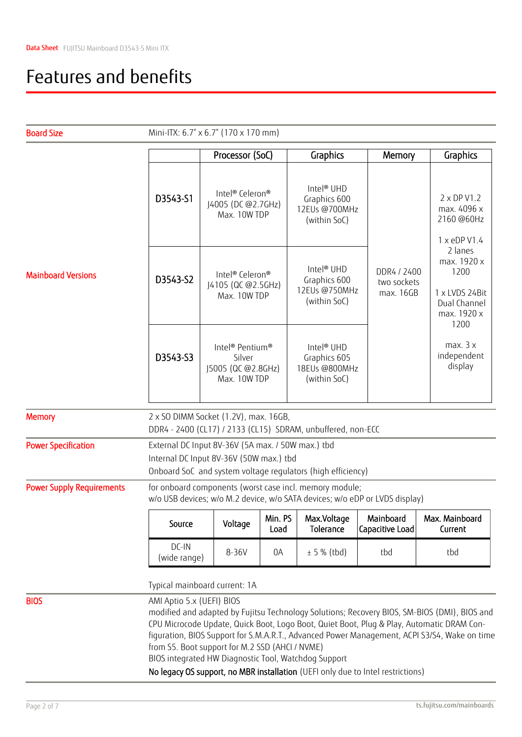### Features and benefits

| <b>Board Size</b>                |                                                                                                                                                                                                                                                                                                                                                                                                                                                                                                                      | Mini-ITX: 6.7" x 6.7" (170 x 170 mm)                                                    |                 |                                                                         |                                         |                                                                                         |  |  |
|----------------------------------|----------------------------------------------------------------------------------------------------------------------------------------------------------------------------------------------------------------------------------------------------------------------------------------------------------------------------------------------------------------------------------------------------------------------------------------------------------------------------------------------------------------------|-----------------------------------------------------------------------------------------|-----------------|-------------------------------------------------------------------------|-----------------------------------------|-----------------------------------------------------------------------------------------|--|--|
|                                  |                                                                                                                                                                                                                                                                                                                                                                                                                                                                                                                      | Processor (SoC)                                                                         |                 | Graphics                                                                | Memory                                  | Graphics                                                                                |  |  |
| <b>Mainboard Versions</b>        | D3543-S1                                                                                                                                                                                                                                                                                                                                                                                                                                                                                                             | Intel® Celeron®<br>J4005 (DC @2.7GHz)<br>Max. 10W TDP                                   |                 | Intel <sup>®</sup> UHD<br>Graphics 600<br>12EUs @700MHz<br>(within SoC) |                                         | $2 \times DP$ V1.2<br>max. 4096 x<br>2160 @60Hz<br>1 x eDP V1.4                         |  |  |
|                                  | D3543-S2                                                                                                                                                                                                                                                                                                                                                                                                                                                                                                             | Intel <sup>®</sup> Celeron <sup>®</sup><br>J4105 (QC @2.5GHz)<br>Max. 10W TDP           |                 | Intel <sup>®</sup> UHD<br>Graphics 600<br>12EUs @750MHz<br>(within SoC) | DDR4 / 2400<br>two sockets<br>max. 16GB | 2 lanes<br>max. 1920 x<br>1200<br>1 x LVDS 24Bit<br>Dual Channel<br>max. 1920 x<br>1200 |  |  |
|                                  | D3543-S3                                                                                                                                                                                                                                                                                                                                                                                                                                                                                                             | Intel <sup>®</sup> Pentium <sup>®</sup><br>Silver<br>J5005 (QC @2.8GHz)<br>Max. 10W TDP |                 | Intel <sup>®</sup> UHD<br>Graphics 605<br>18EUs @800MHz<br>(within SoC) |                                         | max. 3 x<br>independent<br>display                                                      |  |  |
| <b>Memory</b>                    | 2 x SO DIMM Socket (1.2V), max. 16GB,<br>DDR4 - 2400 (CL17) / 2133 (CL15) SDRAM, unbuffered, non-ECC                                                                                                                                                                                                                                                                                                                                                                                                                 |                                                                                         |                 |                                                                         |                                         |                                                                                         |  |  |
| <b>Power Specification</b>       | External DC Input 8V-36V (5A max. / 50W max.) tbd<br>Internal DC Input 8V-36V (50W max.) tbd<br>Onboard SoC and system voltage regulators (high efficiency)                                                                                                                                                                                                                                                                                                                                                          |                                                                                         |                 |                                                                         |                                         |                                                                                         |  |  |
| <b>Power Supply Requirements</b> | for onboard components (worst case incl. memory module;<br>w/o USB devices; w/o M.2 device, w/o SATA devices; w/o eDP or LVDS display)                                                                                                                                                                                                                                                                                                                                                                               |                                                                                         |                 |                                                                         |                                         |                                                                                         |  |  |
|                                  | Source                                                                                                                                                                                                                                                                                                                                                                                                                                                                                                               | Voltage                                                                                 | Min. PS<br>Load | Max.Voltage<br>Tolerance                                                | Mainboard<br>Capacitive Load            | Max. Mainboard<br>Current                                                               |  |  |
|                                  | $DC$ -IN<br>(wide range)                                                                                                                                                                                                                                                                                                                                                                                                                                                                                             | 8-36V                                                                                   | 0A              | ± 5 % (tbd)                                                             | tbd                                     | tbd                                                                                     |  |  |
|                                  | Typical mainboard current: 1A                                                                                                                                                                                                                                                                                                                                                                                                                                                                                        |                                                                                         |                 |                                                                         |                                         |                                                                                         |  |  |
| <b>BIOS</b>                      | AMI Aptio 5.x (UEFI) BIOS<br>modified and adapted by Fujitsu Technology Solutions; Recovery BIOS, SM-BIOS (DMI), BIOS and<br>CPU Microcode Update, Quick Boot, Logo Boot, Quiet Boot, Plug & Play, Automatic DRAM Con-<br>figuration, BIOS Support for S.M.A.R.T., Advanced Power Management, ACPI S3/S4, Wake on time<br>from S5. Boot support for M.2 SSD (AHCI / NVME)<br>BIOS integrated HW Diagnostic Tool, Watchdog Support<br>No legacy OS support, no MBR installation (UEFI only due to Intel restrictions) |                                                                                         |                 |                                                                         |                                         |                                                                                         |  |  |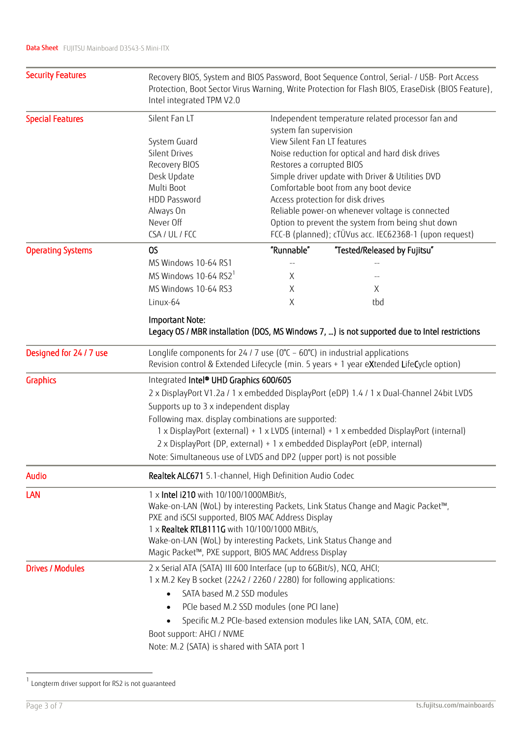| <b>Security Features</b> | Recovery BIOS, System and BIOS Password, Boot Sequence Control, Serial- / USB- Port Access<br>Protection, Boot Sector Virus Warning, Write Protection for Flash BIOS, EraseDisk (BIOS Feature),<br>Intel integrated TPM V2.0                                                                                                                                |                                                   |                                                                             |  |  |  |  |
|--------------------------|-------------------------------------------------------------------------------------------------------------------------------------------------------------------------------------------------------------------------------------------------------------------------------------------------------------------------------------------------------------|---------------------------------------------------|-----------------------------------------------------------------------------|--|--|--|--|
| <b>Special Features</b>  | Silent Fan LT                                                                                                                                                                                                                                                                                                                                               |                                                   | Independent temperature related processor fan and<br>system fan supervision |  |  |  |  |
|                          | System Guard                                                                                                                                                                                                                                                                                                                                                |                                                   | View Silent Fan LT features                                                 |  |  |  |  |
|                          | <b>Silent Drives</b>                                                                                                                                                                                                                                                                                                                                        | Noise reduction for optical and hard disk drives  |                                                                             |  |  |  |  |
|                          | Recovery BIOS                                                                                                                                                                                                                                                                                                                                               | Restores a corrupted BIOS                         |                                                                             |  |  |  |  |
|                          | Desk Update                                                                                                                                                                                                                                                                                                                                                 | Simple driver update with Driver & Utilities DVD  |                                                                             |  |  |  |  |
|                          | Multi Boot                                                                                                                                                                                                                                                                                                                                                  | Comfortable boot from any boot device             |                                                                             |  |  |  |  |
|                          | HDD Password                                                                                                                                                                                                                                                                                                                                                | Access protection for disk drives                 |                                                                             |  |  |  |  |
|                          | Always On                                                                                                                                                                                                                                                                                                                                                   | Reliable power-on whenever voltage is connected   |                                                                             |  |  |  |  |
|                          | Never Off                                                                                                                                                                                                                                                                                                                                                   | Option to prevent the system from being shut down |                                                                             |  |  |  |  |
|                          | CSA / UL / FCC                                                                                                                                                                                                                                                                                                                                              |                                                   | FCC-B (planned); cTÜVus acc. IEC62368-1 (upon request)                      |  |  |  |  |
| <b>Operating Systems</b> | OS                                                                                                                                                                                                                                                                                                                                                          | "Runnable"                                        | "Tested/Released by Fujitsu"                                                |  |  |  |  |
|                          | MS Windows 10-64 RS1                                                                                                                                                                                                                                                                                                                                        |                                                   |                                                                             |  |  |  |  |
|                          | MS Windows 10-64 RS2 <sup>1</sup>                                                                                                                                                                                                                                                                                                                           | Χ                                                 |                                                                             |  |  |  |  |
|                          | MS Windows 10-64 RS3                                                                                                                                                                                                                                                                                                                                        | Χ                                                 | X                                                                           |  |  |  |  |
|                          | Linux-64                                                                                                                                                                                                                                                                                                                                                    | Χ                                                 | tbd                                                                         |  |  |  |  |
|                          | Important Note:<br>Legacy OS / MBR installation (DOS, MS Windows 7, ) is not supported due to Intel restrictions                                                                                                                                                                                                                                            |                                                   |                                                                             |  |  |  |  |
| Designed for 24 / 7 use  | Longlife components for 24 / 7 use ( $0^{\circ}$ C – $60^{\circ}$ C) in industrial applications<br>Revision control & Extended Lifecycle (min. 5 years + 1 year eXtended LifeCycle option)                                                                                                                                                                  |                                                   |                                                                             |  |  |  |  |
| Graphics                 | Integrated Intel® UHD Graphics 600/605                                                                                                                                                                                                                                                                                                                      |                                                   |                                                                             |  |  |  |  |
|                          | 2 x DisplayPort V1.2a / 1 x embedded DisplayPort (eDP) 1.4 / 1 x Dual-Channel 24bit LVDS                                                                                                                                                                                                                                                                    |                                                   |                                                                             |  |  |  |  |
|                          | Supports up to 3 x independent display                                                                                                                                                                                                                                                                                                                      |                                                   |                                                                             |  |  |  |  |
|                          | Following max. display combinations are supported:<br>1 x DisplayPort (external) + 1 x LVDS (internal) + 1 x embedded DisplayPort (internal)                                                                                                                                                                                                                |                                                   |                                                                             |  |  |  |  |
|                          | 2 x DisplayPort (DP, external) + 1 x embedded DisplayPort (eDP, internal)                                                                                                                                                                                                                                                                                   |                                                   |                                                                             |  |  |  |  |
|                          | Note: Simultaneous use of LVDS and DP2 (upper port) is not possible                                                                                                                                                                                                                                                                                         |                                                   |                                                                             |  |  |  |  |
| Audio                    | Realtek ALC671 5.1-channel, High Definition Audio Codec                                                                                                                                                                                                                                                                                                     |                                                   |                                                                             |  |  |  |  |
| LAN                      | 1 x Intel i210 with 10/100/1000MBit/s,<br>Wake-on-LAN (WoL) by interesting Packets, Link Status Change and Magic Packet™,<br>PXE and iSCSI supported, BIOS MAC Address Display<br>1 x Realtek RTL8111G with 10/100/1000 MBit/s,<br>Wake-on-LAN (WoL) by interesting Packets, Link Status Change and<br>Magic Packet™, PXE support, BIOS MAC Address Display |                                                   |                                                                             |  |  |  |  |
| <b>Drives / Modules</b>  | 2 x Serial ATA (SATA) III 600 Interface (up to 6GBit/s), NCQ, AHCI;<br>1 x M.2 Key B socket (2242 / 2260 / 2280) for following applications:                                                                                                                                                                                                                |                                                   |                                                                             |  |  |  |  |
|                          | SATA based M.2 SSD modules                                                                                                                                                                                                                                                                                                                                  |                                                   |                                                                             |  |  |  |  |
|                          | PCIe based M.2 SSD modules (one PCI lane)                                                                                                                                                                                                                                                                                                                   |                                                   |                                                                             |  |  |  |  |
|                          | Specific M.2 PCIe-based extension modules like LAN, SATA, COM, etc.                                                                                                                                                                                                                                                                                         |                                                   |                                                                             |  |  |  |  |
|                          | Boot support: AHCl / NVME                                                                                                                                                                                                                                                                                                                                   |                                                   |                                                                             |  |  |  |  |
|                          | Note: M.2 (SATA) is shared with SATA port 1                                                                                                                                                                                                                                                                                                                 |                                                   |                                                                             |  |  |  |  |
|                          |                                                                                                                                                                                                                                                                                                                                                             |                                                   |                                                                             |  |  |  |  |

 1 Longterm driver support for RS2 is not guaranteed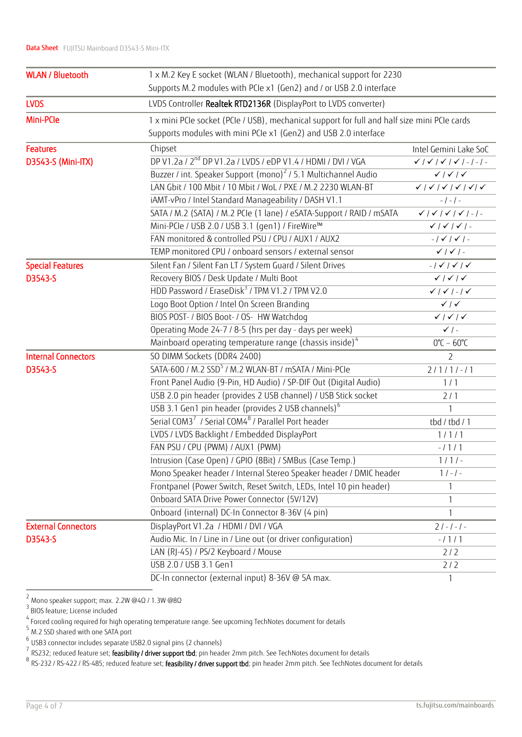| <b>WLAN / Bluetooth</b>    | 1 x M.2 Key E socket (WLAN / Bluetooth), mechanical support for 2230                         |                                                                       |  |  |  |  |
|----------------------------|----------------------------------------------------------------------------------------------|-----------------------------------------------------------------------|--|--|--|--|
|                            | Supports M.2 modules with PCIe x1 (Gen2) and / or USB 2.0 interface                          |                                                                       |  |  |  |  |
| <b>LVDS</b>                | LVDS Controller Realtek RTD2136R (DisplayPort to LVDS converter)                             |                                                                       |  |  |  |  |
| Mini-PCle                  | 1 x mini PCIe socket (PCIe / USB), mechanical support for full and half size mini PCIe cards |                                                                       |  |  |  |  |
|                            | Supports modules with mini PCIe x1 (Gen2) and USB 2.0 interface                              |                                                                       |  |  |  |  |
| <b>Features</b>            | Chipset                                                                                      | Intel Gemini Lake SoC                                                 |  |  |  |  |
| D3543-S (Mini-ITX)         | DP V1.2a / 2 <sup>nd</sup> DP V1.2a / LVDS / eDP V1.4 / HDMI / DVI / VGA                     | $\checkmark$   $\checkmark$   $\checkmark$   $\checkmark$   -   -   - |  |  |  |  |
|                            | Buzzer / int. Speaker Support (mono) <sup>2</sup> / 5.1 Multichannel Audio                   | $\checkmark$   $\checkmark$   $\checkmark$                            |  |  |  |  |
|                            | LAN Gbit / 100 Mbit / 10 Mbit / WoL / PXE / M.2 2230 WLAN-BT                                 |                                                                       |  |  |  |  |
|                            | iAMT-vPro / Intel Standard Manageability / DASH V1.1                                         | $-$ / $-$ / $-$                                                       |  |  |  |  |
|                            | SATA / M.2 (SATA) / M.2 PCIe (1 lane) / eSATA-Support / RAID / mSATA                         | $\checkmark$   $\checkmark$   $\checkmark$   $\checkmark$   -   -     |  |  |  |  |
|                            | Mini-PCle / USB 2.0 / USB 3.1 (gen1) / FireWire™                                             | $\checkmark$   $\checkmark$   $\checkmark$   -                        |  |  |  |  |
|                            | FAN monitored & controlled PSU / CPU / AUX1 / AUX2                                           | $-1$ $\checkmark$ $1$ $\checkmark$ $1$ $-$                            |  |  |  |  |
|                            | TEMP monitored CPU / onboard sensors / external sensor                                       | $\checkmark$   $\checkmark$   -                                       |  |  |  |  |
| <b>Special Features</b>    | Silent Fan / Silent Fan LT / System Guard / Silent Drives                                    | $-1 \checkmark$   $\checkmark$   $\checkmark$                         |  |  |  |  |
| D3543-S                    | Recovery BIOS / Desk Update / Multi Boot                                                     | $\checkmark$   $\checkmark$   $\checkmark$                            |  |  |  |  |
|                            | HDD Password / EraseDisk <sup>3</sup> / TPM V1.2 / TPM V2.0                                  | $\checkmark$ / $\checkmark$ / - / $\checkmark$                        |  |  |  |  |
|                            | Logo Boot Option / Intel On Screen Branding                                                  | $\checkmark$                                                          |  |  |  |  |
|                            | BIOS POST- / BIOS Boot- / OS- HW Watchdog                                                    | $\checkmark$   $\checkmark$   $\checkmark$                            |  |  |  |  |
|                            | Operating Mode 24-7 / 8-5 (hrs per day - days per week)                                      | $\checkmark$ / -                                                      |  |  |  |  |
|                            | Mainboard operating temperature range (chassis inside) <sup>4</sup>                          | $0^{\circ}$ C – 60 $^{\circ}$ C                                       |  |  |  |  |
| <b>Internal Connectors</b> | SO DIMM Sockets (DDR4 2400)                                                                  | $\overline{2}$                                                        |  |  |  |  |
| D3543-S                    | SATA-600 / M.2 SSD <sup>5</sup> / M.2 WLAN-BT / mSATA / Mini-PCIe                            | $2/1/1/-11$                                                           |  |  |  |  |
|                            | Front Panel Audio (9-Pin, HD Audio) / SP-DIF Out (Digital Audio)                             | 1/1                                                                   |  |  |  |  |
|                            | USB 2.0 pin header (provides 2 USB channel) / USB Stick socket                               | 2/1                                                                   |  |  |  |  |
|                            | USB 3.1 Gen1 pin header (provides 2 USB channels) <sup>6</sup>                               | $\mathbf{1}$                                                          |  |  |  |  |
|                            | Serial COM3 <sup>7</sup> / Serial COM4 <sup>8</sup> / Parallel Port header                   | tbd / tbd / 1                                                         |  |  |  |  |
|                            | LVDS / LVDS Backlight / Embedded DisplayPort                                                 | 1/1/1                                                                 |  |  |  |  |
|                            | FAN PSU / CPU (PWM) / AUX1 (PWM)                                                             | $-1111$                                                               |  |  |  |  |
|                            | Intrusion (Case Open) / GPIO (8Bit) / SMBus (Case Temp.)                                     | $1/1/-$                                                               |  |  |  |  |
|                            | Mono Speaker header / Internal Stereo Speaker header / DMIC header                           | $1 / - 1 -$                                                           |  |  |  |  |
|                            | Frontpanel (Power Switch, Reset Switch, LEDs, Intel 10 pin header)                           |                                                                       |  |  |  |  |
|                            | Onboard SATA Drive Power Connector (5V/12V)                                                  |                                                                       |  |  |  |  |
|                            | Onboard (internal) DC-In Connector 8-36V (4 pin)                                             | 1                                                                     |  |  |  |  |
| <b>External Connectors</b> | DisplayPort V1.2a / HDMI / DVI / VGA                                                         | $21 - 1 - 1 -$                                                        |  |  |  |  |
| D3543-S                    | Audio Mic. In / Line in / Line out (or driver configuration)                                 | $-1111$                                                               |  |  |  |  |
|                            | LAN (RJ-45) / PS/2 Keyboard / Mouse                                                          | 2/2                                                                   |  |  |  |  |
|                            | USB 2.0 / USB 3.1 Gen1                                                                       | 2/2                                                                   |  |  |  |  |
|                            | DC-In connector (external input) 8-36V @ 5A max.                                             | $\mathbf{1}$                                                          |  |  |  |  |

 2 Mono speaker support; max. 2.2W @4Ω / 1.3W @8Ω

<sup>&</sup>lt;sup>3</sup> BIOS feature; License included

 $^4$  Forced cooling required for high operating temperature range. See upcoming TechNotes document for details

<sup>5</sup> M.2 SSD shared with one SATA port

<sup>6</sup> USB3 connector includes separate USB2.0 signal pins (2 channels)

 $^7$  RS232; reduced feature set; **feasibility / driver support tbd**; pin header 2mm pitch. See TechNotes document for details

<sup>&</sup>lt;sup>8</sup> RS-232 / RS-422 / RS-485; reduced feature set; **feasibility / driver support tbd**; pin header 2mm pitch. See TechNotes document for details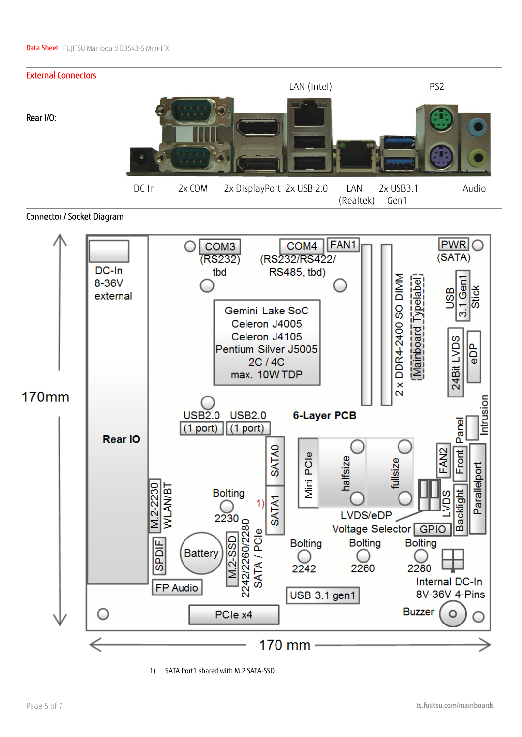

Connector / Socket Diagram



1) SATA Port1 shared with M.2 SATA-SSD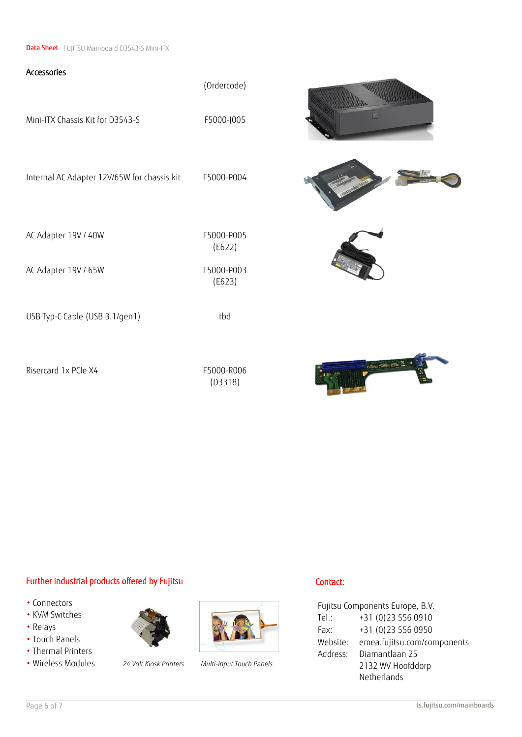**Data Sheet** FUJITSU Mainboard D3543-S Mini-ITX

# Accessories (Ordercode) Mini-ITX Chassis Kit for D3543-S<br>F5000-J005 Internal AC Adapter 12V/65W for chassis kit F5000-P004 AC Adapter 19V / 40W F5000-P005 (E622) AC Adapter 19V / 65W F5000-P003 (E623) USB Typ-C Cable (USB 3.1/gen1) tbd Risercard 1x PCIe X4 F5000-R006 (D3318)









### Further industrial products offered by Fujitsu

- Connectors
- KVM Switches
- Relays
- Touch Panels
- Thermal Printers
- Wireless Modules *24 Volt Kiosk Printers Multi-Input Touch Panels*





### Contact:

Fujitsu Components Europe, B.V. Tel.: +31 (0)23 556 0910 Fax: +31 (0)23 556 0950 Website: [emea.fujitsu.com/components](http://www.fujitsu.com/emea/services/components/) Address: Diamantlaan 25 2132 WV Hoofddorp Netherlands